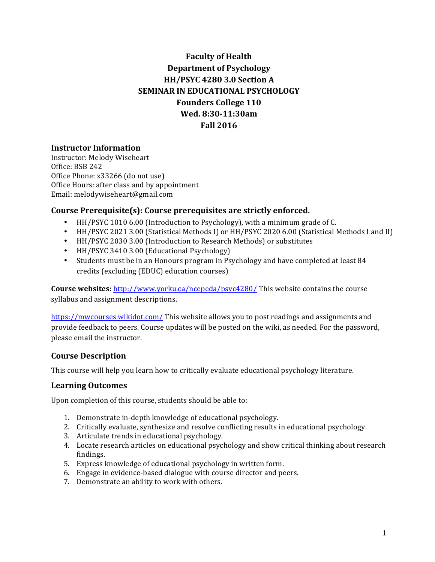# **Faculty of Health Department of Psychology HH/PSYC 4280 3.0 Section A SEMINAR IN EDUCATIONAL PSYCHOLOGY Founders College 110 Wed. 8:30-11:30am Fall 2016**

#### **Instructor Information**

Instructor: Melody Wiseheart Office: BSB 242 Office Phone: x33266 (do not use) Office Hours: after class and by appointment Email: melodywiseheart@gmail.com

#### **Course Prerequisite(s): Course prerequisites are strictly enforced.**

- HH/PSYC 1010 6.00 (Introduction to Psychology), with a minimum grade of C.
- HH/PSYC 2021 3.00 (Statistical Methods I) or HH/PSYC 2020 6.00 (Statistical Methods I and II)
- HH/PSYC 2030 3.00 (Introduction to Research Methods) or substitutes
- HH/PSYC 3410 3.00 (Educational Psychology)
- Students must be in an Honours program in Psychology and have completed at least 84 credits (excluding (EDUC) education courses)

**Course websites:** http://www.yorku.ca/ncepeda/psyc4280/ This website contains the course syllabus and assignment descriptions.

https://mwcourses.wikidot.com/ This website allows you to post readings and assignments and provide feedback to peers. Course updates will be posted on the wiki, as needed. For the password, please email the instructor.

#### **Course Description**

This course will help you learn how to critically evaluate educational psychology literature.

#### **Learning Outcomes**

Upon completion of this course, students should be able to:

- 1. Demonstrate in-depth knowledge of educational psychology.
- 2. Critically evaluate, synthesize and resolve conflicting results in educational psychology.
- 3. Articulate trends in educational psychology.
- 4. Locate research articles on educational psychology and show critical thinking about research findings.
- 5. Express knowledge of educational psychology in written form.
- 6. Engage in evidence-based dialogue with course director and peers.
- 7. Demonstrate an ability to work with others.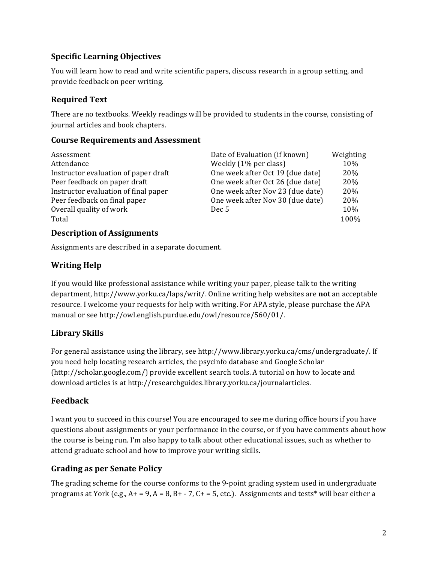## **Specific Learning Objectives**

You will learn how to read and write scientific papers, discuss research in a group setting, and provide feedback on peer writing.

### **Required Text**

There are no textbooks. Weekly readings will be provided to students in the course, consisting of journal articles and book chapters.

#### **Course Requirements and Assessment**

| Assessment                           | Date of Evaluation (if known)    | Weighting |
|--------------------------------------|----------------------------------|-----------|
| Attendance                           | Weekly (1% per class)            | 10%       |
| Instructor evaluation of paper draft | One week after Oct 19 (due date) | 20%       |
| Peer feedback on paper draft         | One week after Oct 26 (due date) | 20%       |
| Instructor evaluation of final paper | One week after Nov 23 (due date) | 20\%      |
| Peer feedback on final paper         | One week after Nov 30 (due date) | 20%       |
| Overall quality of work              | Dec <sub>5</sub>                 | 10%       |
| Total                                |                                  | 100%      |

#### **Description of Assignments**

Assignments are described in a separate document.

## **Writing Help**

If you would like professional assistance while writing your paper, please talk to the writing department, http://www.yorku.ca/laps/writ/. Online writing help websites are **not** an acceptable resource. I welcome your requests for help with writing. For APA style, please purchase the APA manual or see http://owl.english.purdue.edu/owl/resource/560/01/.

# **Library Skills**

For general assistance using the library, see http://www.library.yorku.ca/cms/undergraduate/. If you need help locating research articles, the psycinfo database and Google Scholar (http://scholar.google.com/) provide excellent search tools. A tutorial on how to locate and download articles is at http://researchguides.library.yorku.ca/journalarticles.

### **Feedback**

I want you to succeed in this course! You are encouraged to see me during office hours if you have questions about assignments or your performance in the course, or if you have comments about how the course is being run. I'm also happy to talk about other educational issues, such as whether to attend graduate school and how to improve your writing skills.

### **Grading as per Senate Policy**

The grading scheme for the course conforms to the 9-point grading system used in undergraduate programs at York (e.g.,  $A+ = 9$ ,  $A = 8$ ,  $B+ - 7$ ,  $C+ = 5$ , etc.). Assignments and tests\* will bear either a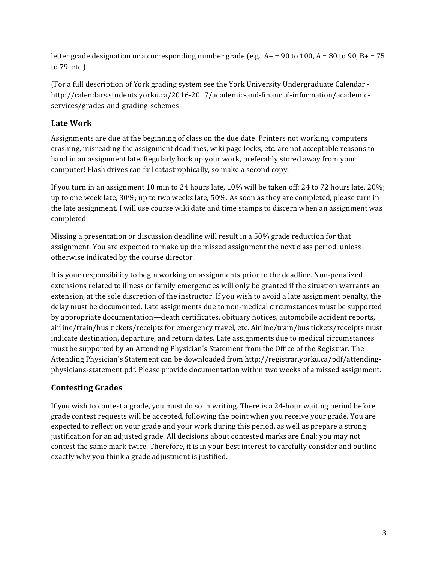letter grade designation or a corresponding number grade (e.g.  $A+ = 90$  to  $100$ ,  $A = 80$  to  $90$ ,  $B+ = 75$ to 79, etc.)

(For a full description of York grading system see the York University Undergraduate Calendar http://calendars.students.yorku.ca/2016-2017/academic-and-financial-information/academicservices/grades-and-grading-schemes

## Late Work

Assignments are due at the beginning of class on the due date. Printers not working, computers crashing, misreading the assignment deadlines, wiki page locks, etc. are not acceptable reasons to hand in an assignment late. Regularly back up your work, preferably stored away from your computer! Flash drives can fail catastrophically, so make a second copy.

If you turn in an assignment 10 min to 24 hours late,  $10\%$  will be taken off; 24 to 72 hours late,  $20\%$ ; up to one week late, 30%; up to two weeks late, 50%. As soon as they are completed, please turn in the late assignment. I will use course wiki date and time stamps to discern when an assignment was completed.

Missing a presentation or discussion deadline will result in a 50% grade reduction for that assignment. You are expected to make up the missed assignment the next class period, unless otherwise indicated by the course director.

It is your responsibility to begin working on assignments prior to the deadline. Non-penalized extensions related to illness or family emergencies will only be granted if the situation warrants an extension, at the sole discretion of the instructor. If you wish to avoid a late assignment penalty, the delay must be documented. Late assignments due to non-medical circumstances must be supported by appropriate documentation—death certificates, obituary notices, automobile accident reports, airline/train/bus tickets/receipts for emergency travel, etc. Airline/train/bus tickets/receipts must indicate destination, departure, and return dates. Late assignments due to medical circumstances must be supported by an Attending Physician's Statement from the Office of the Registrar. The Attending Physician's Statement can be downloaded from http://registrar.yorku.ca/pdf/attendingphysicians-statement.pdf. Please provide documentation within two weeks of a missed assignment.

# **Contesting Grades**

If you wish to contest a grade, you must do so in writing. There is a 24-hour waiting period before grade contest requests will be accepted, following the point when you receive your grade. You are expected to reflect on your grade and your work during this period, as well as prepare a strong justification for an adjusted grade. All decisions about contested marks are final; you may not contest the same mark twice. Therefore, it is in your best interest to carefully consider and outline exactly why you think a grade adjustment is justified.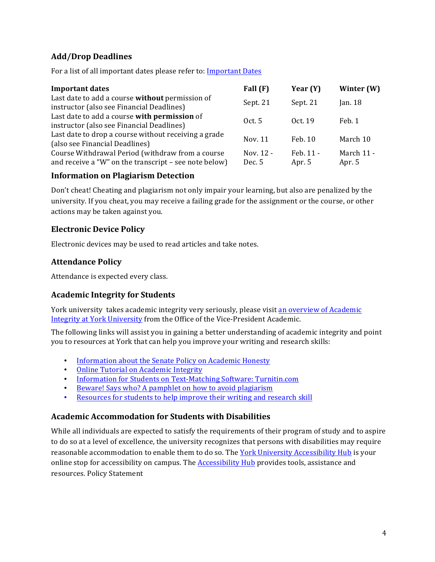## **Add/Drop Deadlines**

For a list of all important dates please refer to: Important Dates

| <b>Important dates</b>                                                                                    | Fall $(F)$          | Year $(Y)$          | Winter (W)           |
|-----------------------------------------------------------------------------------------------------------|---------------------|---------------------|----------------------|
| Last date to add a course without permission of<br>instructor (also see Financial Deadlines)              | Sept. 21            | Sept. 21            | Jan. $18$            |
| Last date to add a course with permission of<br>instructor (also see Financial Deadlines)                 | 0ct.5               | Oct. 19             | Feb. 1               |
| Last date to drop a course without receiving a grade<br>(also see Financial Deadlines)                    | Nov. 11             | Feb. 10             | March 10             |
| Course Withdrawal Period (withdraw from a course<br>and receive a "W" on the transcript – see note below) | Nov. 12 -<br>Dec. 5 | Feb. 11 -<br>Apr. 5 | March 11 -<br>Apr. 5 |

#### **Information on Plagiarism Detection**

Don't cheat! Cheating and plagiarism not only impair your learning, but also are penalized by the university. If you cheat, you may receive a failing grade for the assignment or the course, or other actions may be taken against vou.

### **Electronic Device Policy**

Electronic devices may be used to read articles and take notes.

#### **Attendance Policy**

Attendance is expected every class.

### **Academic Integrity for Students**

York university takes academic integrity very seriously, please visit an overview of Academic Integrity at York University from the Office of the Vice-President Academic.

The following links will assist you in gaining a better understanding of academic integrity and point you to resources at York that can help you improve your writing and research skills:

- Information about the Senate Policy on Academic Honesty
- **Online Tutorial on Academic Integrity**
- Information for Students on Text-Matching Software: Turnitin.com
- Beware! Says who? A pamphlet on how to avoid plagiarism
- Resources for students to help improve their writing and research skill

#### **Academic Accommodation for Students with Disabilities**

While all individuals are expected to satisfy the requirements of their program of study and to aspire to do so at a level of excellence, the university recognizes that persons with disabilities may require reasonable accommodation to enable them to do so. The York University Accessibility Hub is your online stop for accessibility on campus. The Accessibility Hub provides tools, assistance and resources. Policy Statement